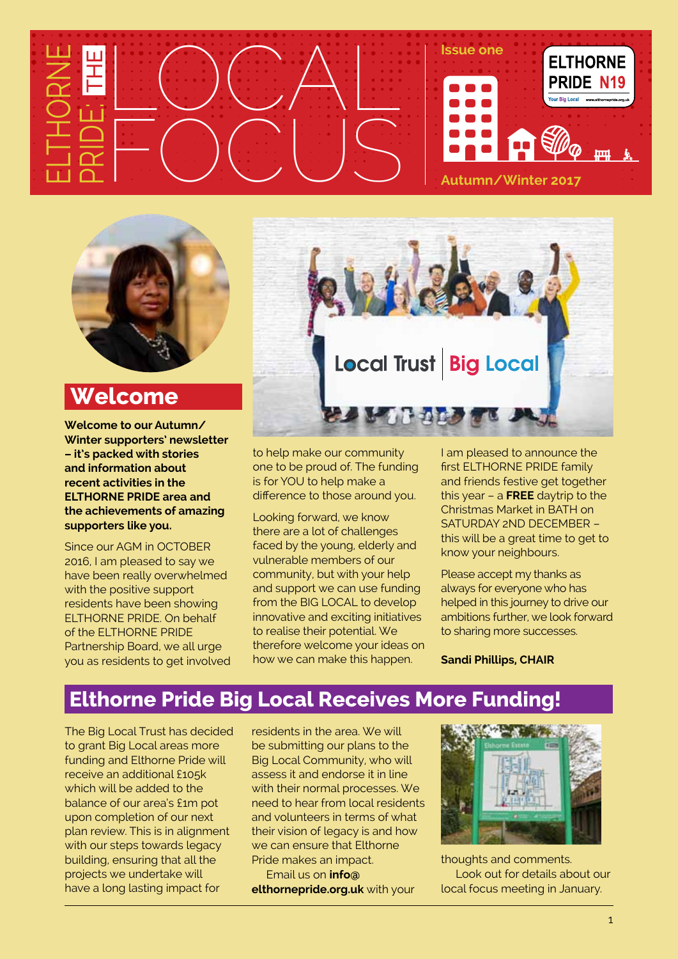



### **Welcome**

**Welcome to our Autumn/ Winter supporters' newsletter – it's packed with stories and information about recent activities in the ELTHORNE PRIDE area and the achievements of amazing supporters like you.**

Since our AGM in OCTOBER 2016, I am pleased to say we have been really overwhelmed with the positive support residents have been showing ELTHORNE PRIDE. On behalf of the ELTHORNE PRIDE Partnership Board, we all urge you as residents to get involved



to help make our community one to be proud of. The funding is for YOU to help make a difference to those around you.

Looking forward, we know there are a lot of challenges faced by the young, elderly and vulnerable members of our community, but with your help and support we can use funding from the BIG LOCAL to develop innovative and exciting initiatives to realise their potential. We therefore welcome your ideas on how we can make this happen.

I am pleased to announce the first ELTHORNE PRIDE family and friends festive get together this year – a **FREE** daytrip to the Christmas Market in BATH on SATURDAY 2ND DECEMBER – this will be a great time to get to know your neighbours.

Please accept my thanks as always for everyone who has helped in this journey to drive our ambitions further, we look forward to sharing more successes.

**Sandi Phillips, CHAIR**

### **Elthorne Pride Big Local Receives More Funding!**

The Big Local Trust has decided to grant Big Local areas more funding and Elthorne Pride will receive an additional £105k which will be added to the balance of our area's £1m pot upon completion of our next plan review. This is in alignment with our steps towards legacy building, ensuring that all the projects we undertake will have a long lasting impact for

residents in the area. We will be submitting our plans to the Big Local Community, who will assess it and endorse it in line with their normal processes. We need to hear from local residents and volunteers in terms of what their vision of legacy is and how we can ensure that Elthorne Pride makes an impact.

 Email us on **[info@](mailto:info@elthornepride.org.uk) [elthornepride.org.uk](mailto:info@elthornepride.org.uk)** with your



thoughts and comments. Look out for details about our local focus meeting in January.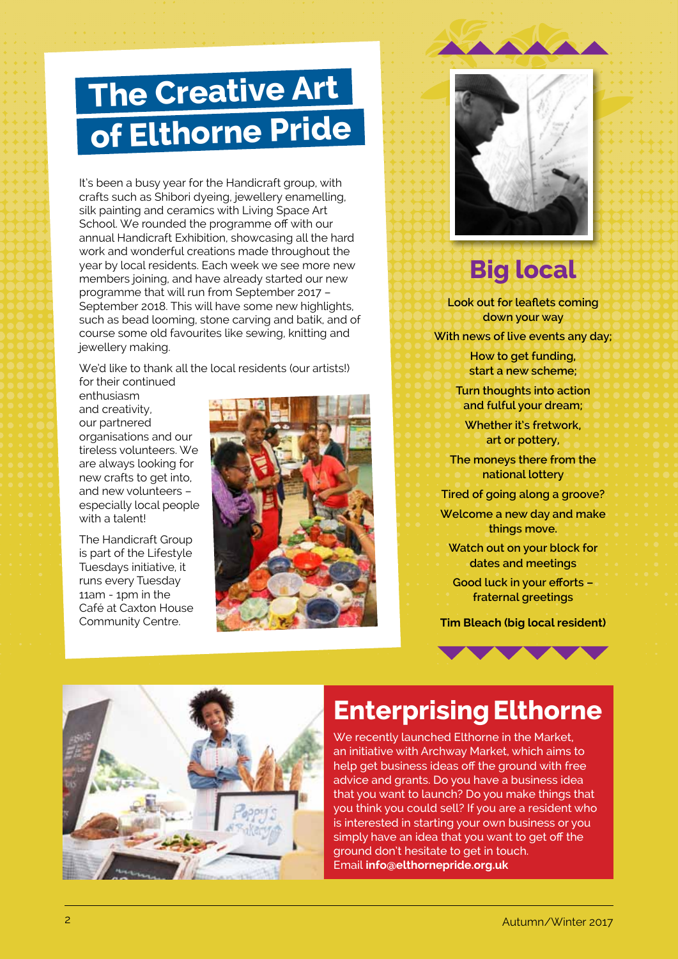# **The Creative Art of Elthorne Pride**

It's been a busy year for the Handicraft group, with crafts such as Shibori dyeing, jewellery enamelling, silk painting and ceramics with Living Space Art School. We rounded the programme off with our annual Handicraft Exhibition, showcasing all the hard work and wonderful creations made throughout the year by local residents. Each week we see more new members joining, and have already started our new programme that will run from September 2017 – September 2018. This will have some new highlights, such as bead looming, stone carving and batik, and of course some old favourites like sewing, knitting and jewellery making.

We'd like to thank all the local residents (our artists!) for their continued

enthusiasm and creativity, our partnered organisations and our tireless volunteers. We are always looking for new crafts to get into, and new volunteers – especially local people with a talent!

The Handicraft Group is part of the Lifestyle Tuesdays initiative, it runs every Tuesday 11am - 1pm in the Café at Caxton House Community Centre.





## **Big local**

**Look out for leaflets coming down your way**

**With news of live events any day;**

**How to get funding, start a new scheme;**

**Turn thoughts into action and fulful your dream;**

**Whether it's fretwork, art or pottery,**

**The moneys there from the national lottery**

**Tired of going along a groove?**

**Welcome a new day and make things move.**

**Watch out on your block for dates and meetings**

**Good luck in your efforts – fraternal greetings**

**Tim Bleach (big local resident)**





## **EnterprisingElthorne**

We recently launched Elthorne in the Market, an initiative with Archway Market, which aims to help get business ideas off the ground with free advice and grants. Do you have a business idea that you want to launch? Do you make things that you think you could sell? If you are a resident who is interested in starting your own business or you simply have an idea that you want to get off the ground don't hesitate to get in touch. Email **[info@elthornepride.org.uk](mailto:info@elthornepride.org.uk)**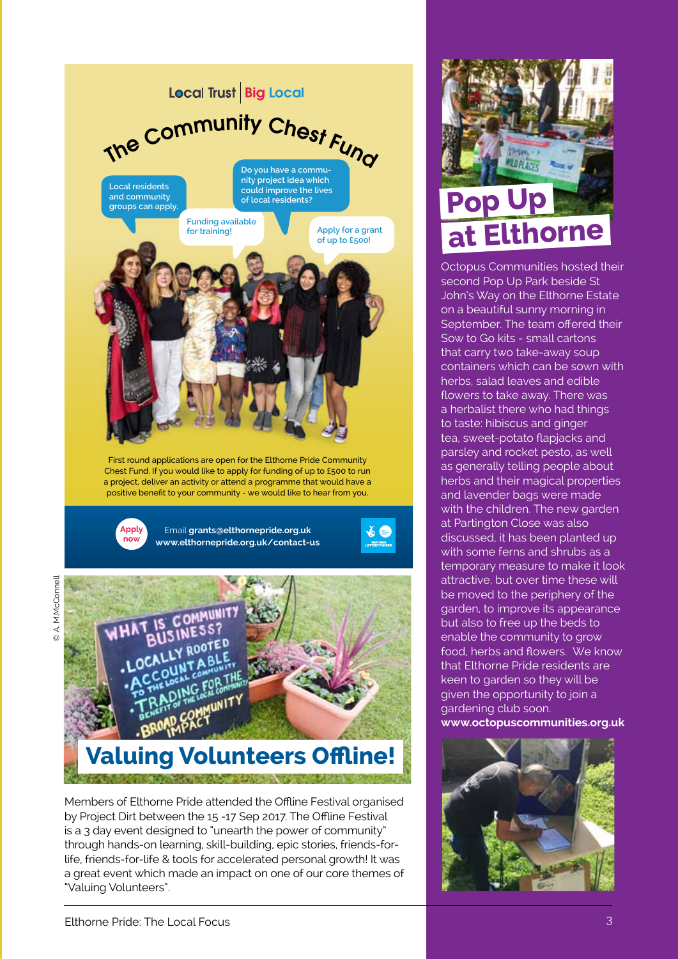

# **Valuing Volunteers Offline!**

Members of Elthorne Pride attended the Offline Festival organised by Project Dirt between the 15 -17 Sep 2017. The Offline Festival is a 3 day event designed to "unearth the power of community" through hands-on learning, skill-building, epic stories, friends-forlife, friends-for-life & tools for accelerated personal growth! It was a great event which made an impact on one of our core themes of "Valuing Volunteers".



Octopus Communities hosted their second Pop Up Park beside St John's Way on the Elthorne Estate on a beautiful sunny morning in September. The team offered their Sow to Go kits - small cartons that carry two take-away soup containers which can be sown with herbs, salad leaves and edible flowers to take away. There was a herbalist there who had things to taste: hibiscus and ginger tea, sweet-potato flapjacks and parsley and rocket pesto, as well as generally telling people about herbs and their magical properties and lavender bags were made with the children. The new garden at Partington Close was also discussed, it has been planted up with some ferns and shrubs as a temporary measure to make it look attractive, but over time these will be moved to the periphery of the garden, to improve its appearance but also to free up the beds to enable the community to grow food, herbs and flowers. We know that Elthorne Pride residents are keen to garden so they will be given the opportunity to join a gardening club soon. **[www.octopuscommunities.org.uk](http://www.octopuscommunities.org.uk)**



© A. M.McConnell

A. M.McConnell